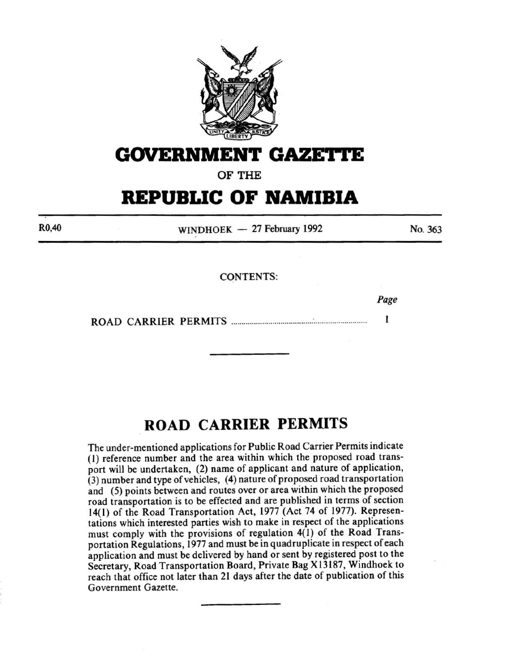

## **GOVERNMENT GAZE1=J'E**

OF THE

# **REPUBLIC OF NAMIBIA**

R0,40

 $WINDHOEK - 27$  February 1992

No. 363

CONTENTS:

*Page* 

ROAD CARRIER PERMITS ....................................... : ......................... . 1

## **ROAD CARRIER PERMITS**

The under-mentioned applications for Public Road Carrier Permits indicate (1) reference number and the area within which the proposed road transport will be undertaken, (2) name of applicant and nature of application, (3) number and type of vehicles, ( 4) nature of proposed road transportation and (5) points between and routes over or area within which the proposed road transportation is to be effected and are published in terms of section 14(1) of the Road Transportation Act, 1977 (Act 74 of 1977). Representations which interested parties wish to make in respect of the applications must comply with the provisions of regulation 4(1) of the Road Transportation Regulations, 1977 and must be in quadruplicate in respect of each application and must be delivered by hand or sent by registered post to the Secretary, Road Transportation Board, Private Bag X 13187, Windhoek to reach that office not later than 21 days after the date of publication of this Government Gazette.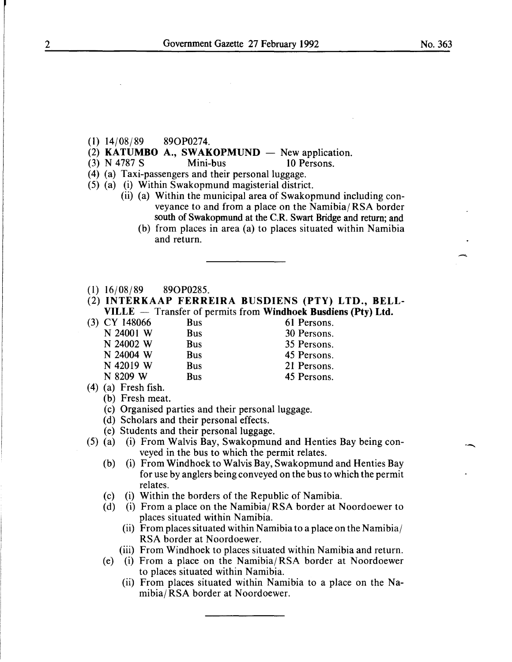--

- (1) 14/08/89 890P0274.
- (2) **KATUMBO A., SWAKOPMUND** New application.<br>(3) N 4787 S Mini-bus 10 Persons.
- $(3)$  N 4787 S
- (4) (a) Taxi-passengers and their personal luggage.
- (5) (a) (i) Within Swakopmund magisterial district.
	- (ii) (a) Within the municipal area of Swakopmund including conveyance to and from a place on the Namibia/ RSA border south of Swakopmund at the C.R. Swart Bridge and return; and
		- (b) from places in area (a) to places situated within Namibia and return.

45 Persons.

- (1) 16/08/89 890P0285.
- (2) INTERKAAP FERREIRA BUSDIENS (PTY) LTD., BELL-VILLE  $-$  Transfer of permits from Windhoek Busdiens (Pty) Ltd.
- (3) CY 148066 Bus 61 Persons.<br>  $N$  24001 W Bus 30 Persons. N 24001 W Bus 30 Persons.<br>N 24002 W Bus 35 Persons. N 24002 W Bus 35 Persons.<br>N 24004 W Bus 45 Persons. N 24004 W Bus 45 Persons.<br>N 42019 W Bus 21 Persons. N 42019 W Bus 21 Persons.<br>N 8209 W Bus 45 Persons.
- (4) (a) Fresh fish.
	- (b) Fresh meat.
	- (c) Organised parties and their personal luggage.
	- (d) Scholars and their personal effects.
	- (e) Students and their personal luggage.
- (5) (a) (i) From Walvis Bay, Swakopmund and Henties Bay being conveyed in the bus to which the permit relates.
	- (b) (i) From Windhoek to Walvis Bay, Swakopmund and Henties Bay for use by anglers being conveyed on the bus to which the permit relates.
	- (c) (i) Within the borders of the Republic of Namibia.
	- (d) (i) From a place on the Namibia/ RSA border at Noordoewer to places situated within Namibia.
		- (ii) From places situated within Namibia to a place on the Namibia/ RSA border at Noordoewer.
		- (iii) From Windhoek to places situated within Namibia and return.
	- (e) (i) From a place on the Namibia/RSA border at Noordoewer to places situated within Namibia.
		- (ii) From places situated within Namibia to a place on the Namibia/ RSA border at Noordoewer.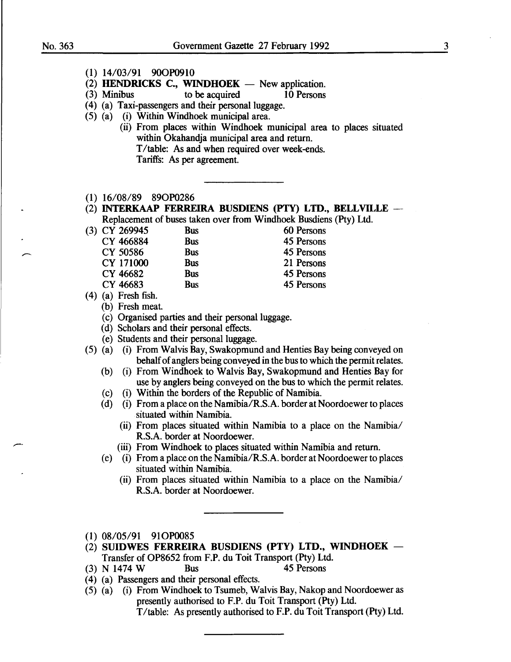| $(1)$ 14/03/91 90OP0910                             |                                                   |                                                                    |
|-----------------------------------------------------|---------------------------------------------------|--------------------------------------------------------------------|
|                                                     |                                                   | (2) HENDRICKS C., WINDHOEK $-$ New application.                    |
| (3) Minibus                                         | to be acquired                                    | 10 Persons                                                         |
| (4) (a) Taxi-passengers and their personal luggage. |                                                   |                                                                    |
| $(5)$ (a)                                           | (i) Within Windhoek municipal area.               |                                                                    |
|                                                     |                                                   | (ii) From places within Windhoek municipal area to places situated |
|                                                     | within Okahandja municipal area and return.       |                                                                    |
|                                                     |                                                   | T/table: As and when required over week-ends.                      |
|                                                     | Tariffs: As per agreement.                        |                                                                    |
|                                                     |                                                   |                                                                    |
|                                                     |                                                   |                                                                    |
| $(1)$ 16/08/89 89OP0286                             |                                                   |                                                                    |
|                                                     |                                                   | (2) INTERKAAP FERREIRA BUSDIENS (PTY) LTD., BELLVILLE              |
|                                                     |                                                   |                                                                    |
|                                                     |                                                   | Replacement of buses taken over from Windhoek Busdiens (Pty) Ltd.  |
| $(3)$ CY 269945                                     | <b>Bus</b>                                        | 60 Persons                                                         |
| CY 466884                                           | <b>Bus</b>                                        | 45 Persons                                                         |
| CY 50586                                            | <b>Bus</b>                                        | 45 Persons                                                         |
| CY 171000                                           | <b>Bus</b>                                        | 21 Persons                                                         |
| CY 46682                                            | <b>Bus</b>                                        | 45 Persons                                                         |
| CY 46683                                            | <b>Bus</b>                                        | 45 Persons                                                         |
| $(4)$ $(a)$ Fresh fish.                             |                                                   |                                                                    |
| (b) Fresh meat.                                     |                                                   |                                                                    |
|                                                     | (c) Organised parties and their personal luggage. |                                                                    |
|                                                     | (d) Scholars and their personal effects.          |                                                                    |

- (e) Students and their personal luggage.
- (5) (a) (i) From Walvis Bay, Swakopmund and Henties Bay being conveyed on behalf of anglers being conveyed in the bus to which the permit relates.
	- (b) (i) From Windhoek to Walvis Bay, Swakopmund and Henties Bay for use by anglers being conveyed on the bus to which the permit relates.
	- (c) (i) Within the borders of the Republic of Namibia.
	- (d) (i) From a place on the Namibia/R.S.A. border at Noordoewer to places situated within Namibia.
		- (ii) From places situated within Namibia to a place on the Namibia/ R.S.A. border at Noordoewer.
		- (iii) From Windhoek to places situated within Namibia and return.
	- (e) (i) From a place on the Namibia/R.S.A. border at Noordoewer to places situated within Namibia.
		- (ii) From places situated within Namibia to a place on the Namibia/ R.S.A. border at Noordoewer.
- (l) 08/05/91 910P0085
- (2) SUIDWES FERREIRA BUSDIENS (PTY) LTD., WINDHOEK-Transfer of OP8652 from F.P. du Toit Transport (Pty) Ltd.<br>N 1474 W Bus 45 Persons
- $(3)$  N 1474 W Bus
- ( 4) (a) Passengers and their personal effects.
- (5) (a) (i) From Windhoek to Tsumeb, Walvis Bay, Nakop and Noordoewer as presently authorised to F.P. du Toit Transport (Pty) Ltd. T /table: As presently authorised to F.P. du Toit Transport (Pty) Ltd.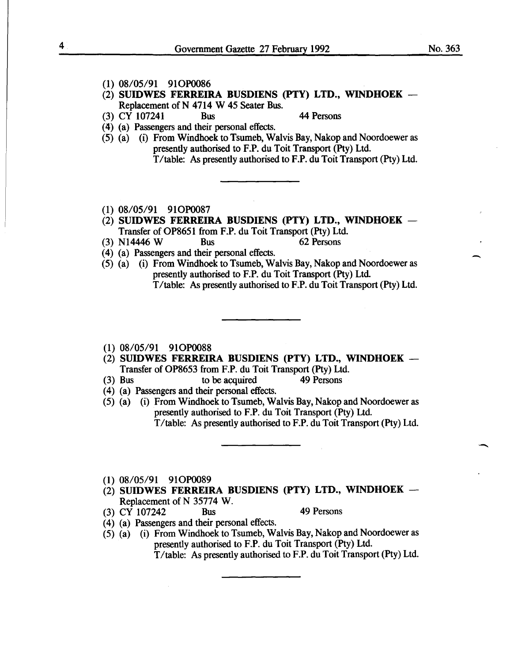No. 363

-

- (1) 08/05/91 910P0086
- (2) SUIDWES FERREIRA BUSDIENS (PTY) LTD., WINDHOEK-Replacement of N 4714 W 45 Seater Bus.<br>CY 107241 Bus

(3) CY 107241 Bus 44 Persons

( 4) (a) Passengers and their personal effects.

- (5) (a) (i) From Windhoek to Tsumeb, Walvis Bay, Nakop and Noordoewer as presently authorised to F.P. du Toit Transport (Pty) Ltd. T/table: As presently authorised to F.P. du Toit Transport (Pty) Ltd.
- (1) 08/05/91 910P0087
- (2) SUIDWES FERREIRA BUSDIENS (PTY) LTD., WINDHOEK-Transfer of OP8651 from F.P. du Toit Transport (Pty) Ltd.
- (3) N14446 W Bus 62 Persons
- ( 4) (a) Passengers and their personal effects.
- (5) (a) (i) From Windhoek to Tsumeb, Walvis Bay, Nakop and Noordoewer as presently authorised to F.P. du Toit Transport (Pty) Ltd. T/table: As presently authorised to F.P. du Toit Transport (Pty) Ltd.
- (1) 08/05/91 910P0088
- (2) SUIDWES FERREIRA BUSDIENS (PTY) LTD., WINDHOEK-Transfer of OP8653 from F.P. du Toit Transport (Pty) Ltd.
- (3) Bus to be acquired 49 Persons
- ( 4) (a) Passengers and their personal effects.
- (5) (a) (i) From Windhoek toTsumeb, Walvis Bay, Nakop and Noordoewer as presently authorised to F.P. du Toit Transport (Pty) Ltd. T/table: As presently authorised to F.P. du Toit Transport (Pty) Ltd.
- (1) 08/05/91 910P0089
- (2) SUIDWES FERREIRA BUSDIENS (PTY) LTD., WINDHOEK-Replacement of N 35774 W.
- (3) CY 107242 Bus 49 Persons
- ( 4) (a) Passengers and their personal effects.
- (5) (a) (i) From Windhoek to Tsumeb, Walvis Bay, Nakop and Noordoewer as presently authorised to F.P. du Toit Transport (Pty) Ltd. T/table: As presently authorised to F.P. du Toit Transport (Pty) Ltd.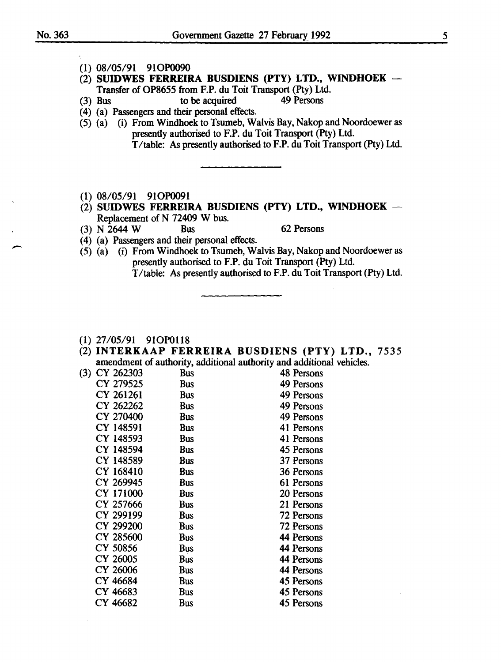$\ddot{\phantom{0}}$ 

- (1) 08/05/91 910P0090
- (2) SUIDWES FERREIRA BUSDIENS (PTY) LTD., WINDHOEK  $-$
- Transfer of OP8655 from F.P. du Toit Transport (Pty) Ltd.<br>Bus to be acquired 49 Persons  $(3)$  Bus to be acquired
- ( 4) (a) Passengers and their personal effects.
- (5) (a) (i) From Windhoek to Tsumeb, Walvis Bay, Nakop and Noordoewer as presently authorised to F.P. du Toit Transport (Pty) Ltd. T/table: As presently authorised to F.P. du Toit Transport (Pty) Ltd.
- (1) 08/05/91 910P0091
- (2) SUIDWES FERREIRA BUSDIENS (PTY) LTD., WINDHOEK-Replacement of N 72409 W bus.<br>N 2644 W Bus
- (3) N 2644 W Bus 62 Persons

- ( 4) (a) Passengers and their personal effects.
- (5) (a) (i) From Windhoek to Tsumeb, Walvis Bay, Nakop and Noordoewer as presently authorised to F.P. du Toit Transport (Pty) Ltd. T/table: As presently authorised to F.P. du Toit Transport (Pty) Ltd.
- (1) 27/05/91 910P0118
- (2) INTERKAAP FERREIRA BUSDIENS (PTY) LTD., 7535 amendment of authority, additional authority and additional vehicles.

| (3) | CY 262303 | <b>Bus</b> | <b>48 Persons</b> |
|-----|-----------|------------|-------------------|
|     | CY 279525 | <b>Bus</b> | 49 Persons        |
|     | CY 261261 | <b>Bus</b> | 49 Persons        |
|     | CY 262262 | <b>Bus</b> | 49 Persons        |
|     | CY 270400 | Bus        | 49 Persons        |
|     | CY 148591 | <b>Bus</b> | 41 Persons        |
|     | CY 148593 | Bus        | 41 Persons        |
|     | CY 148594 | <b>Bus</b> | 45 Persons        |
|     | CY 148589 | Bus        | 37 Persons        |
|     | CY 168410 | <b>Bus</b> | 36 Persons        |
|     | CY 269945 | <b>Bus</b> | 61 Persons        |
|     | CY 171000 | <b>Bus</b> | 20 Persons        |
|     | CY 257666 | <b>Bus</b> | 21 Persons        |
|     | CY 299199 | Bus        | 72 Persons        |
|     | CY 299200 | <b>Bus</b> | 72 Persons        |
|     | CY 285600 | <b>Bus</b> | 44 Persons        |
|     | CY 50856  | <b>Bus</b> | 44 Persons        |
|     | CY 26005  | <b>Bus</b> | 44 Persons        |
|     | CY 26006  | Bus        | 44 Persons        |
|     | CY 46684  | <b>Bus</b> | 45 Persons        |
|     | CY 46683  | <b>Bus</b> | 45 Persons        |
|     | CY 46682  | <b>Bus</b> | 45 Persons        |
|     |           |            |                   |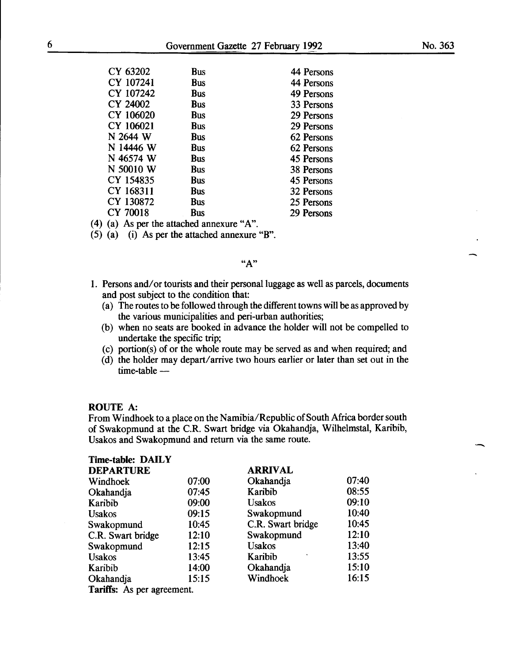| CY 63202  | <b>Bus</b> | 44 Persons |
|-----------|------------|------------|
| CY 107241 | Bus        | 44 Persons |
| CY 107242 | <b>Bus</b> | 49 Persons |
| CY 24002  | Bus        | 33 Persons |
| CY 106020 | Bus        | 29 Persons |
| CY 106021 | <b>Bus</b> | 29 Persons |
| N 2644 W  | <b>Bus</b> | 62 Persons |
| N 14446 W | <b>Bus</b> | 62 Persons |
| N 46574 W | Bus        | 45 Persons |
| N 50010 W | Bus        | 38 Persons |
| CY 154835 | Bus        | 45 Persons |
| CY 168311 | <b>Bus</b> | 32 Persons |
| CY 130872 | <b>Bus</b> | 25 Persons |
| CY 70018  | Bus        | 29 Persons |
|           |            |            |

(4) (a) As per the attached annexure "A".

(5) (a) (i) As per the attached annexure "B".

### "A"

- 1. Persons and/ or tourists and their personal luggage as well as parcels, documents and post subject to the condition that:
	- (a) The routes to be followed through the different towns will be as approved by the various municipalities and peri-urban authorities;
	- (b) when no seats are booked in advance the holder will not be compelled to undertake the specific trip;
	- (c) portion(s) of or the whole route may be served as and when required; and
	- (d) the holder may depart/arrive two hours earlier or later than set out in the  $time$ -table  $-$

#### ROUTE A:

From Windhoek to a place on the Namibia/Republic of South Africa border south of Swakopmund at the C.R. Swart bridge via Okahandja, Wilhelmstal, Karibib, Usakos and Swakopmund and return via the same route.

| <b>Time-table: DAILY</b>   |       |                   |       |
|----------------------------|-------|-------------------|-------|
| <b>DEPARTURE</b>           |       | <b>ARRIVAL</b>    |       |
| Windhoek                   | 07:00 | Okahandja         | 07:40 |
| Okahandja                  | 07:45 | Karibib           | 08:55 |
| Karibib                    | 09:00 | <b>Usakos</b>     | 09:10 |
| <b>Usakos</b>              | 09:15 | Swakopmund        | 10:40 |
| Swakopmund                 | 10:45 | C.R. Swart bridge | 10:45 |
| C.R. Swart bridge          | 12:10 | Swakopmund        | 12:10 |
| Swakopmund                 | 12:15 | <b>Usakos</b>     | 13:40 |
| <b>Usakos</b>              | 13:45 | Karibib           | 13:55 |
| Karibib                    | 14:00 | Okahandja         | 15:10 |
| Okahandja                  | 15:15 | Windhoek          | 16:15 |
| Tariffs: As per agreement. |       |                   |       |

-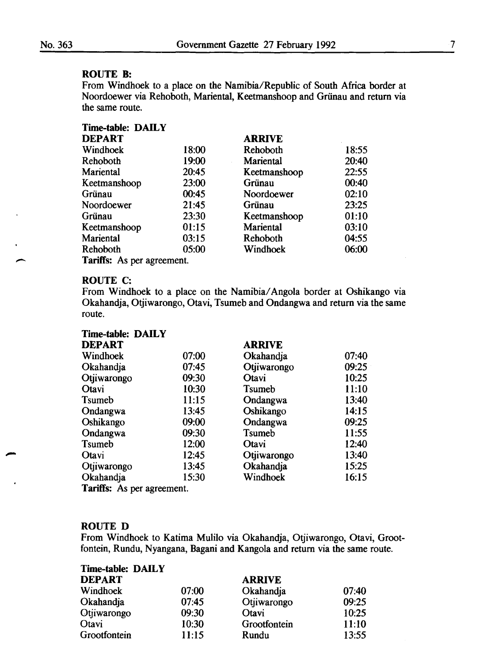์<br>|<br>|

-

### ROUTE B:

From Windhoek to a place on the Namibia/Republic of South Africa border at Noordoewer via Rehoboth, Mariental, Keetmanshoop and Griinau and return via the same route.

| Time-table: DAILY                 |       |               |       |
|-----------------------------------|-------|---------------|-------|
| <b>DEPART</b>                     |       | <b>ARRIVE</b> |       |
| Windhoek                          | 18:00 | Rehoboth      | 18:55 |
| Rehoboth                          | 19:00 | Mariental     | 20:40 |
| Mariental                         | 20:45 | Keetmanshoop  | 22:55 |
| Keetmanshoop                      | 23:00 | Grünau        | 00:40 |
| Grünau                            | 00:45 | Noordoewer    | 02:10 |
| Noordoewer                        | 21:45 | Grünau        | 23:25 |
| Grünau                            | 23:30 | Keetmanshoop  | 01:10 |
| Keetmanshoop                      | 01:15 | Mariental     | 03:10 |
| Mariental                         | 03:15 | Rehoboth      | 04:55 |
| Rehoboth                          | 05:00 | Windhoek      | 06:00 |
| <b>Tariffs:</b> As per agreement. |       |               |       |

#### ROUTE C:

From Windhoek to a place on the Namibia/ Angola border at Oshikango via Okahandja, Otjiwarongo, Otavi, Tsumeb and Ondangwa and return via the same route.

| <b>Time-table: DAILY</b>   |       |               |       |
|----------------------------|-------|---------------|-------|
| <b>DEPART</b>              |       | <b>ARRIVE</b> |       |
| Windhoek                   | 07:00 | Okahandja     | 07:40 |
| Okahandja                  | 07:45 | Otjiwarongo   | 09:25 |
| Otjiwarongo                | 09:30 | Otavi         | 10:25 |
| Otavi                      | 10:30 | <b>Tsumeb</b> | 11:10 |
| <b>T</b> sumeb             | 11:15 | Ondangwa      | 13:40 |
| Ondangwa                   | 13:45 | Oshikango     | 14:15 |
| Oshikango                  | 09:00 | Ondangwa      | 09:25 |
| Ondangwa                   | 09:30 | <b>Tsumeb</b> | 11:55 |
| <b>T</b> sumeb             | 12:00 | Otavi         | 12:40 |
| Otavi                      | 12:45 | Otjiwarongo   | 13:40 |
| Otjiwarongo                | 13:45 | Okahandja     | 15:25 |
| Okahandja                  | 15:30 | Windhoek      | 16:15 |
| Tariffs: As per agreement. |       |               |       |

#### ROUTE D

From Windhoek to Katima Mulilo via Okahandja, Otjiwarongo, Otavi, Grootfontein, Rundu, Nyangana, Bagani and Kangola and return via the same route.

| <b>Time-table: DAILY</b> |       |               |       |
|--------------------------|-------|---------------|-------|
| <b>DEPART</b>            |       | <b>ARRIVE</b> |       |
| Windhoek                 | 07:00 | Okahandja     | 07:40 |
| Okahandja                | 07:45 | Otjiwarongo   | 09:25 |
| Otjiwarongo              | 09:30 | Otavi         | 10:25 |
| Otavi                    | 10:30 | Grootfontein  | 11:10 |
| Grootfontein             | 11:15 | Rundu         | 13:55 |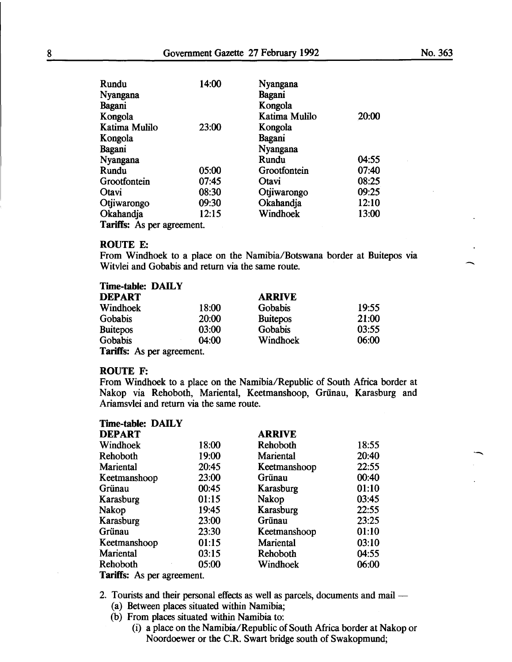-<br>-<br>-

| Rundu                      | 14:00 | Nyangana      |       |
|----------------------------|-------|---------------|-------|
| Nyangana                   |       | Bagani        |       |
| Bagani                     |       | Kongola       |       |
| Kongola                    |       | Katima Mulilo | 20:00 |
| Katima Mulilo              | 23:00 | Kongola       |       |
| Kongola                    |       | Bagani        |       |
| Bagani                     |       | Nyangana      |       |
| Nyangana                   |       | Rundu         | 04:55 |
| Rundu                      | 05:00 | Grootfontein  | 07:40 |
| Grootfontein               | 07:45 | Otavi         | 08:25 |
| Otavi                      | 08:30 | Otjiwarongo   | 09:25 |
| Otjiwarongo                | 09:30 | Okahandja     | 12:10 |
| Okahandja                  | 12:15 | Windhoek      | 13:00 |
| Tariffs: As per agreement. |       |               |       |

#### ROUTE E:

From Windhoek to a place on the Namibia/Botswana border at Buitepos via Witvlei and Gobabis and return via the same route.

| Time-table: DAILY       |       |                 |       |
|-------------------------|-------|-----------------|-------|
| <b>DEPART</b>           |       | <b>ARRIVE</b>   |       |
| Windhoek                | 18:00 | Gobabis         | 19:55 |
| Gobabis                 | 20:00 | <b>Buitepos</b> | 21:00 |
| <b>Buitepos</b>         | 03:00 | Gobabis         | 03:55 |
| Gobabis                 | 04:00 | Windhoek        | 06:00 |
| Touller As now approach |       |                 |       |

Tariffs: As per agreement.

#### ROUTE F:

From Windhoek to a place on the Namibia/Republic of South Africa border at Nakop via Rehoboth, Mariental, Keetmanshoop, Griinau, Karasburg and Ariamsvlei and return via the same route.

| <b>Time-table: DAILY</b>   |       |                  |       |
|----------------------------|-------|------------------|-------|
| <b>DEPART</b>              |       | <b>ARRIVE</b>    |       |
| Windhoek                   | 18:00 | Rehoboth         | 18:55 |
| Rehoboth                   | 19:00 | <b>Mariental</b> | 20:40 |
| Mariental                  | 20:45 | Keetmanshoop     | 22:55 |
| Keetmanshoop               | 23:00 | Grünau           | 00:40 |
| Grünau                     | 00:45 | Karasburg        | 01:10 |
| Karasburg                  | 01:15 | Nakop            | 03:45 |
| <b>Nakop</b>               | 19:45 | Karasburg        | 22:55 |
| Karasburg                  | 23:00 | Grünau           | 23:25 |
| Grünau                     | 23:30 | Keetmanshoop     | 01:10 |
| Keetmanshoop               | 01:15 | <b>Mariental</b> | 03:10 |
| Mariental                  | 03:15 | Rehoboth         | 04:55 |
| Rehoboth                   | 05:00 | Windhoek         | 06:00 |
| Tariffs: As per agreement. |       |                  |       |

- 2. Tourists and their personal effects as well as parcels, documents and mail -
	- (a) Between places situated within Namibia;
	- (b) From places situated within Namibia to:
		- (i) a place on the Namibia/Republic of South Africa border at Nakop or Noordoewer or the C.R. Swart bridge south of Swakopmund;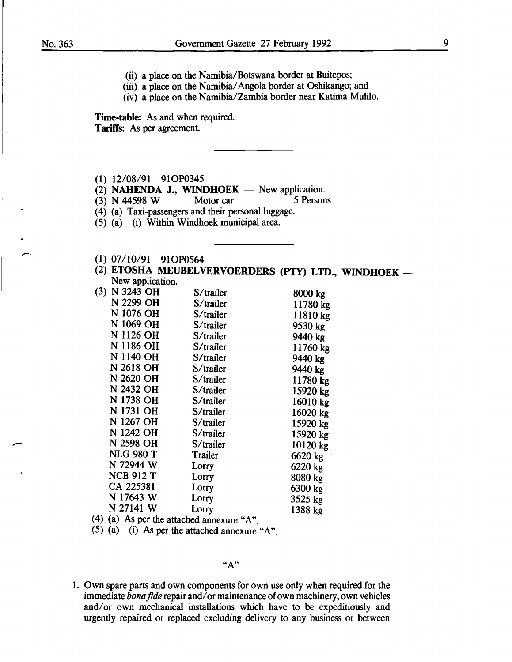.<br>(

- (ii) a place on the Namibia/Botswana border at Buitepos;
- (iii) a place on the Namibia/ Angola border at Oshikango; and
- (iv) a place on the Namibia/Zambia border near Katima Mulilo.

**Time-table:** As and when required. **Tariffs:** As per agreement.

- (1) 12/08/91 910P0345
- (2) **NAHENDA J., WINDHOEK** New application.<br>(3) **N** 44598 W Motor car 5 Persons
- $(3)$  N 44598 W
- (4) (a) Taxi-passengers and their personal luggage.
- {5) (a) (i) Within Windhoek municipal area.
- **{1)** 07/10/91 910P0564
- (2) **ETOSHA MEUBELVERVOERDERS (PTY) LTD., WINDHOEK-**New application.

| (3) N 3243 OH    | S/trailer | 8000 kg  |
|------------------|-----------|----------|
| N 2299 OH        | S/trailer | 11780 kg |
| N 1076 OH        | S/trailer | 11810 kg |
| N 1069 OH        | S/trailer | 9530 kg  |
| N 1126 OH        | S/trailer | 9440 kg  |
| N 1186 OH        | S/trailer | 11760 kg |
| N 1140 OH        | S/trailer | 9440 kg  |
| N 2618 OH        | S/trailer | 9440 kg  |
| N 2620 OH        | S/trailer | 11780 kg |
| N 2432 OH        | S/trailer | 15920 kg |
| N 1738 OH        | S/trailer | 16010 kg |
| N 1731 OH        | S/trailer | 16020 kg |
| N 1267 OH        | S/trailer | 15920 kg |
| N 1242 OH        | S/trailer | 15920 kg |
| N 2598 OH        | S/trailer | 10120 kg |
| <b>NLG 980 T</b> | Trailer   | 6620 kg  |
| N 72944 W        | Lorry     | 6220 kg  |
| <b>NCB 912 T</b> | Lorry     | 8080 kg  |
| CA 225381        | Lorry     | 6300 kg  |
| N 17643 W        | Lorry     | 3525 kg  |
| N 27141 W        | Lorry     | 1388 kg  |
|                  |           |          |

 $(4)$  (a) As per the attached annexure "A".

(5) (a) (i) As per the attached annexure "A".

**"A"** 

1. Own spare parts and own components for own use only when required for the immediate *bona fide* repair and/ or maintenance of own machinery, own vehicles and/or own mechanical installations which have to be expeditiously and urgently repaired or replaced excluding delivery to any business or between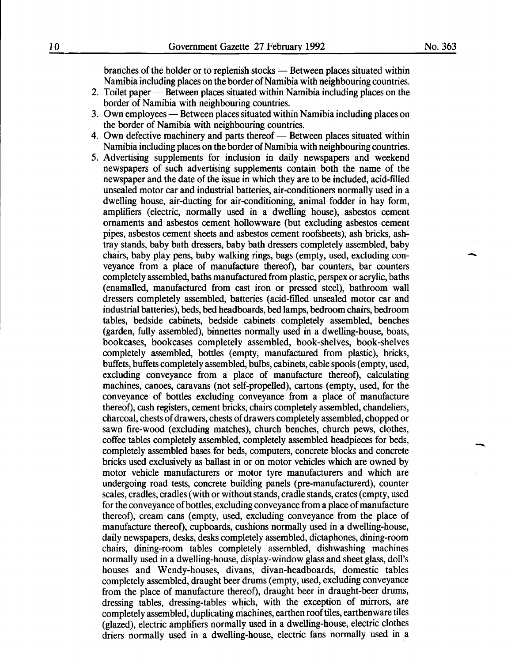branches of the holder or to replenish stocks — Between places situated within Namibia including places on the border of Namibia with neighbouring countries.

- 2. Toilet paper  $-$  Between places situated within Namibia including places on the border of Namibia with neighbouring countries.
- 3. Own employees Between places situated within Namibia including places on the border of Namibia with neighbouring countries.
- 4. Own defective machinery and parts thereof  $-$  Between places situated within Namibia including places on the border of Namibia with neighbouring countries.
- 5. Advertising supplements for inclusion in daily newspapers and weekend newspapers of such advertising supplements contain both the name of the newspaper and the date of the issue in which they are to be included, acid-filled unsealed motor car and industrial batteries, air-conditioners normally used in a dwelling house, air-ducting for air-conditioning, animal fodder in hay form, amplifiers (electric, normally used in a dwelling house), asbestos cement ornaments and asbestos cement hollowware (but excluding asbestos cement pipes, asbestos cement sheets and asbestos cement roofsheets ), ash bricks, ashtray stands, baby bath dressers, baby bath dressers completely assembled, baby chairs, baby play pens, baby walking rings, bags (empty, used, excluding conveyance from a place of manufacture thereof), bar counters, bar counters completely assembled, baths manufactured from plastic, perspex or acrylic, baths ( enamalled, manufactured from cast iron or pressed steel), bathroom wall dressers completely assembled, batteries (acid-filled unsealed motor car and industrial batteries), beds, bed headboards, bed lamps, bedroom chairs, bedroom tables, bedside cabinets, bedside cabinets completely assembled, benches (garden, fully assembled), binnettes normally used in a dwelling-house, boats, bookcases, bookcases completely assembled, book-shelves, book-shelves completely assembled, bottles (empty, manufactured from plastic), bricks, buffets, buffets completely assembled, bulbs, cabinets, cable spools (empty, used, excluding conveyance from a place of manufacture thereof), calculating machines, canoes, caravans (not self-propelled), cartons (empty, used, for the conveyance of bottles excluding conveyance from a place of manufacture thereof), cash registers, cement bricks, chairs completely assembled, chandeliers, charcoal, chests of drawers, chests of drawers completely assembled, chopped or sawn fire-wood (excluding matches), church benches, church pews, clothes, coffee tables completely assembled, completely assembled headpieces for beds, completely assembled bases for beds, computers, concrete blocks and concrete bricks used exclusively as ballast in or on motor vehicles which are owned by motor vehicle manufacturers or motor tyre manufacturers and which are undergoing road tests, concrete building panels (pre-manufacturerd), counter scales, cradles, cradles (with or without stands, cradle stands, crates (empty, used for the conveyance of bottles, excluding conveyance from a place of manufacture thereof), cream cans (empty, used, excluding conveyance from the place of manufacture thereof), cupboards, cushions normally used in a dwelling-house, daily newspapers, desks, desks completely assembled, dictaphones, dining-room chairs, dining-room tables completely assembled, dishwashing machines normally used in a dwelling-house, display-window glass and sheet glass, doll's houses and Wendy-houses, divans, divan-headboards, domestic tables completely assembled, draught beer drums (empty, used, excluding conveyance from the place of manufacture thereof), draught beer in draught-beer drums, dressing tables, dressing-tables which, with the exception of mirrors, are completely assembled, duplicating machines, earthen roof tiles, earthenware tiles (glazed), electric amplifiers normally used in a dwelling-house, electric clothes driers normally used in a dwelling-house, electric fans normally used in a

.<br>-<br>-

-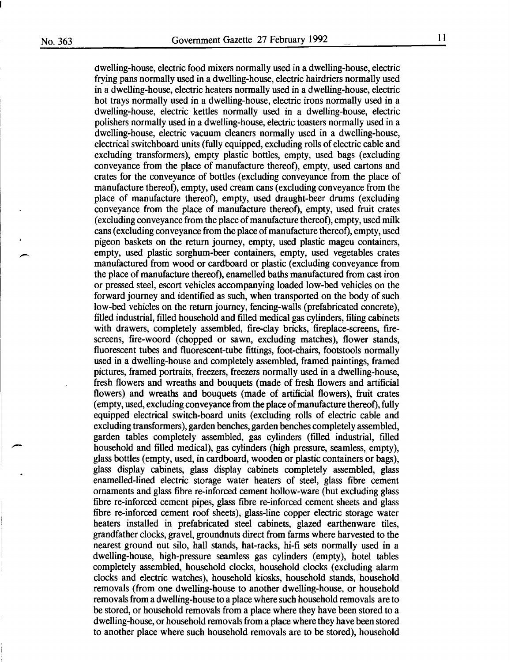dwelling-house, electric food mixers normally used in a dwelling-house, electric frying pans normally used in a dwelling-house, electric hairdriers normally used in a dwelling-house, electric heaters normally used in a dwelling-house, electric hot trays normally used in a dwelling-house, electric irons normally used in a dwelling-house, electric kettles normally used in a dwelling-house, electric polishers normally used in a dwelling-house, electric toasters normally used in a dwelling-house, electric vacuum cleaners normally used in a dwelling-house, electrical switchboard units (fully equipped, excluding rolls of electric cable and excluding transformers), empty plastic bottles, empty, used bags (excluding conveyance from the place of manufacture thereof), empty, used cartons and crates for the conveyance of bottles (excluding conveyance from the place of manufacture thereof), empty, used cream cans (excluding conveyance from the place of manufacture thereof), empty, used draught-beer drums (excluding conveyance from the place of manufacture thereof), empty, used fruit crates (excluding conveyance from the place of manufacture thereof), empty, used milk cans (excluding conveyance from the place of manufacture thereof), empty, used pigeon baskets on the return journey, empty, used plastic mageu containers, empty, used plastic sorghum-beer containers, empty, used vegetables crates manufactured from wood or cardboard or plastic (excluding conveyance from the place of manufacture thereof), enamelled baths manufactured from cast iron or pressed steel, escort vehicles accompanying loaded low-bed vehicles on the forward journey and identified as such, when transported on the body of such low-bed vehicles on the return journey, fencing-walls (prefabricated concrete), filled industrial, filled household and filled medical gas cylinders, filing cabinets with drawers, completely assembled, fire-clay bricks, fireplace-screens, firescreens, fire-woord (chopped or sawn, excluding matches), flower stands, fluorescent tubes and fluorescent-tube fittings, foot-chairs, footstools normally used in a dwelling-house and completely assembled, framed paintings, framed pictures, framed portraits, freezers, freezers normally used in a dwelling-house, fresh flowers and wreaths and bouquets (made of fresh flowers and artificial flowers) and wreaths and bouquets (made of artificial flowers), fruit crates (empty, used, excluding conveyance from the place of manufacture thereof), fully equipped electrical switch-board units (excluding rolls of electric cable and excluding transformers), garden benches, garden benches completely assembled, garden tables completely assembled, gas cylinders (filled industrial, filled household and filled medical), gas cylinders (high pressure, seamless, empty), glass bottles (empty, used, in cardboard, wooden or plastic containers or bags), glass display cabinets, glass display cabinets completely assembled, glass enamelled-lined electric storage water heaters of steel, glass fibre cement ornaments and glass fibre re-inforced cement hollow-ware (but excluding glass fibre re-inforced cement pipes, glass fibre re-inforced cement sheets and glass fibre re-inforced cement roof sheets), glass-line copper electric storage water heaters installed in prefabricated steel cabinets, glazed earthenware tiles, grandfather clocks, gravel, groundnuts direct from farms where harvested to the nearest ground nut silo, hall stands, hat-racks, hi-fi sets normally used in a dwelling-house, high-pressure seamless gas cylinders (empty), hotel tables completely assembled, household clocks, household clocks (excluding alarm clocks and electric watches), household kiosks, household stands, household removals (from one' dwelling-house to another dwelling-house, or household removals from a dwelling-house to a place where such household removals are to be stored, or household removals from a place where they have been stored to a dwelling-house, or household removals from a place where they have been stored to another place where such household removals are to be stored), household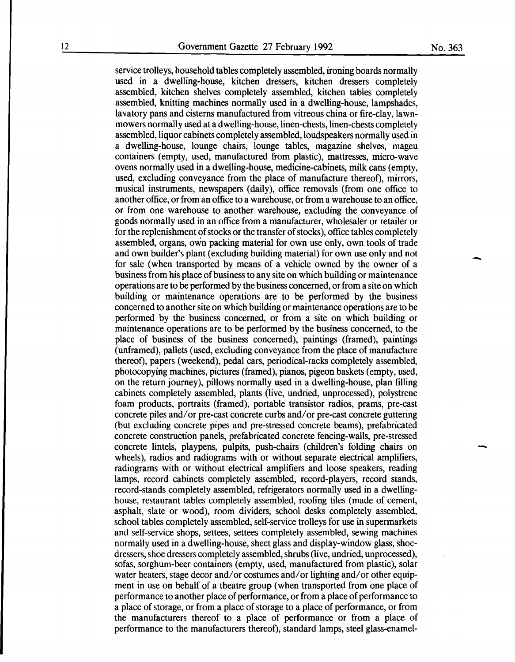-

-

service trolleys, household tables completely assembled, ironing boards normally used in a dwelling-house, kitchen dressers, kitchen dressers completely assembled, kitchen shelves completely assembled, kitchen tables completely assembled, knitting machines normally used in a dwelling-house, lampshades, lavatory pans and cisterns manufactured from vitreous china or fire-clay, lawnmowers normally used at a dwelling-house, linen-chests, linen-chests completely assembled, liquor cabinets completely assembled, loudspeakers normally used in a dwelling-house, lounge chairs, lounge tables, magazine shelves, mageu containers (empty, used, manufactured from plastic), mattresses, micro-wave ovens normally used in a dwelling-house, medicine-cabinets, milk cans (empty, used, excluding conveyance from the place of manufacture thereof), mirrors, musical instruments, newspapers (daily), office removals (from one office to another office, or from an office to a warehouse, or from a warehouse to an office, or from one warehouse to another warehouse, excluding the conveyance of goods normally used in an office from a manufacturer, wholesaler or retailer or for the replenishment of stocks or the transfer of stocks), office tables completely assembled, organs, own packing material for own use only, own tools of trade and own builder's plant (excluding building material) for own use only and not for sale (when transported by means of a vehicle owned by the owner of a business from his place of business to any site on which building or maintenance operations are to be performed by the business concerned, or from a site on which building or maintenance operations are to be performed by the business concerned to another site on which building or maintenance operations are to be performed by the business concerned, or from a site on which building or maintenance operations are to be performed by the business concerned, to the place of business of the business concerned), paintings (framed), paintings (unframed), pallets (used, excluding conveyance from the place of manufacture thereof), papers (weekend), pedal cars, periodical-racks completely assembled, photocopying machines, pictures (framed), pianos, pigeon baskets (empty, used, on the return journey), pillows normally used in a dwelling-house, plan filling cabinets completely assembled, plants (live, undried, unprocessed), polystrene foam products, portraits (framed), portable transistor radios, prams, pre-cast concrete piles and/ or pre-cast concrete curbs and/ or pre-cast concrete guttering (but excluding concrete pipes and pre-stressed concrete beams), prefabricated concrete construction panels, prefabricated concrete fencing-walls, pre-stressed concrete lintels, playpens, pulpits, push-chairs (children's folding chairs on wheels), radios and radiograms with or without separate electrical amplifiers, radiograms with or without electrical amplifiers and loose speakers, reading lamps, record cabinets completely assembled, record-players, record stands, record-stands completely assembled, refrigerators normally used in a dwellinghouse, restaurant tables completely assembled, roofing tiles (made of cement, asphalt, slate or wood), room dividers, school desks completely assembled, school tables completely assembled, self-service trolleys for use in supermarkets and self-service shops, settees, settees completely assembled, sewing machines normally used in a dwelling-house, sheet glass and display-window glass, shoedressers, shoe dressers completely assembled, shrubs (live, undried, unprocessed), sofas, sorghum-beer containers (empty, used, manufactured from plastic), solar water heaters, stage decor and/ or costumes and/ or lighting and/ or other equipment in use on behalf of a theatre group (when transported from one place of performance to another place of performance, or from a place of performance to a place of storage, or from a place of storage to a place of performance, or from the manufacturers thereof to a place of performance or from a place of performance to the manufacturers thereof), standard lamps, steel glass-enamel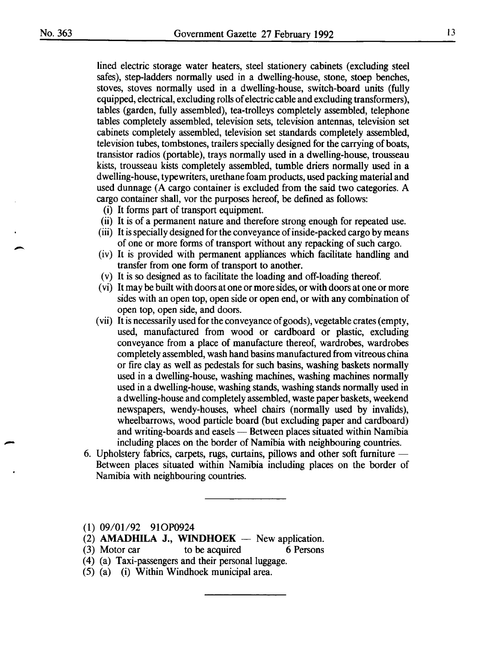-'

-

lined electric storage water heaters, steel stationery cabinets (excluding steel safes), step-ladders normally used in a dwelling-house, stone, stoep benches, stoves, stoves normally used in a dwelling-house, switch-board units (fully equipped, electrical, excluding rolls of electric cable and excluding transformers), tables (garden, fully assembled), tea-trolleys completely assembled, telephone tables completely assembled, television sets, television antennas, television set cabinets completely assembled, television set standards completely assembled, television tubes, tombstones, trailers specially designed for the carrying of boats, transistor radios (portable), trays normally used in a dwelling-house, trousseau kists, trousseau kists completely assembled, tumble driers normally used in a dwelling-house, typewriters, urethane foam products, used packing material and used dunnage (A cargo container is excluded from the said two categories. A cargo container shall, vor the purposes hereof, be defined as follows:

- (i) It forms part of transport equipment.
- (ii) It is of a permanent nature and therefore strong enough for repeated use.
- (iii) It is specially designed for the conveyance of inside-packed cargo by means of one or more forms of transport without any repacking of such cargo.
- (iv) It is provided with permanent appliances which facilitate handling and transfer from one form of transport to another.
- ( v) It is so designed as to facilitate the loading and off-loading thereof.
- (vi) It rna y be built with doors at one or more sides, or with doors at one or more sides with an open top, open side or open end, or with any combination of open top, open side, and doors.
- (vii) It is necessarily used for the conveyance of goods), vegetable crates (empty, used, manufactured from wood or cardboard or plastic, excluding conveyance from a place of manufacture thereof, wardrobes, wardrobes completely assembled, wash hand basins manufactured from vitreous china or fire clay as well as pedestals for such basins, washing baskets normally used in a dwelling-house, washing machines, washing machines normally used in a dwelling-house, washing stands, washing stands normally used in a dwelling-house and completely assembled, waste paper baskets, weekend newspapers, wendy-houses, wheel chairs (normally used by invalids), wheelbarrows, wood particle board (but excluding paper and cardboard) and writing-boards and easels - Between places situated within Namibia including places on the border of Namibia with neighbouring countries.
- 6. Upholstery fabrics, carpets, rugs, curtains, pillows and other soft furniture -Between places situated within Namibia including places on the border of Namibia with neighbouring countries.
- (1) 09/01/92 91OP0924
- (2) AMADHILA J., WINDHOEK  $-$  New application.
- (3) Motor car to be acquired 6 Persons
- (4) (a) Taxi-passengers and their personal luggage.
- (5) (a) (i) Within Windhoek municipal area.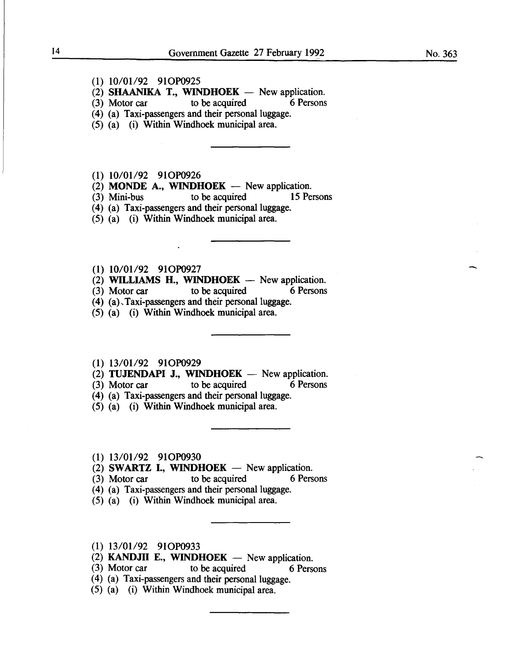#### (1) 10/01/92 91OP0925

(2) SHAANIKA T., WINDHOEK — New application.<br>(3) Motor car to be acquired 6 Persons

 $(3)$  Motor car to be acquired

(4) (a) Taxi-passengers and their personal luggage.

(5) (a) (i) Within Windhoek municipal area.

#### (1) 10/01/92 91OP0926

(2) **MONDE A., WINDHOEK** - New application.<br>(3) Mini-bus to be acquired 15 Persons to be acquired  $15$ 

 $(4)$  (a) Taxi-passengers and their personal luggage.

(5) (a) (i) Within Windhoek municipal area.

#### (1) 10/01/92 91OP0927

(2) WILLIAMS H., WINDHOEK - New application.<br>(3) Motor car to be acquired 6 Persons

 $(3)$  Motor car to be acquired

 $(4)$  (a). Taxi-passengers and their personal luggage.

(5) (a) (i) Within Windhoek municipal area.

#### (1) 13/01/92 91OP0929

(2) TUJENDAPI J., WINDHOEK  $-$  New application.

(3) Motor car to be acquired 6 Persons

(4) (a) Taxi-passengers and their personal luggage.

(5) (a) (i) Within Windhoek municipal area.

#### (1) 13/01/92 910P0930

(2) SWARTZ I., WINDHOEK  $-$  New application.

(3) Motor car to be acquired 6 Persons

(4) (a) Taxi-passengers and their personal luggage.

(5) (a) (i) Within Windhoek municipal area.

- (1) 13/01/92 910P0933
- $(2)$  KANDJII E., WINDHOEK New application.

(3) Motor car to be acquired  $\overline{\hspace{1cm}}$  6 Persons

(4) (a) Taxi-passengers and their personal luggage.

(5) (a) (i) Within Windhoek municipal area.

-